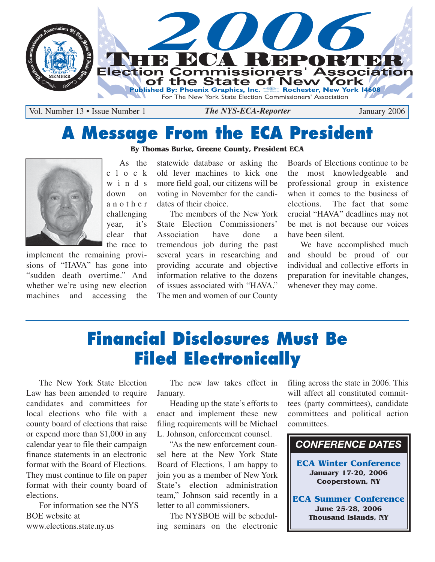

Vol. Number 13 • Issue Number 1 **The NYS-ECA-Reporter** January 2006

# **A Message From the ECA President**

**By Thomas Burke, Greene County, President ECA**



As the c l o c k winds down on another challenging year, it's clear that the race to

implement the remaining provisions of "HAVA" has gone into "sudden death overtime." And whether we're using new election machines and accessing the

statewide database or asking the old lever machines to kick one more field goal, our citizens will be voting in November for the candidates of their choice.

The members of the New York State Election Commissioners' Association have done a tremendous job during the past several years in researching and providing accurate and objective information relative to the dozens of issues associated with "HAVA." The men and women of our County

Boards of Elections continue to be the most knowledgeable and professional group in existence when it comes to the business of elections. The fact that some crucial "HAVA" deadlines may not be met is not because our voices have been silent.

We have accomplished much and should be proud of our individual and collective efforts in preparation for inevitable changes, whenever they may come.

# **Financial Disclosures Must Be Filed Electronically**

The New York State Election Law has been amended to require candidates and committees for local elections who file with a county board of elections that raise or expend more than \$1,000 in any calendar year to file their campaign finance statements in an electronic format with the Board of Elections. They must continue to file on paper format with their county board of elections.

For information see the NYS BOE website at www.elections.state.ny.us

The new law takes effect in January.

Heading up the state's efforts to enact and implement these new filing requirements will be Michael L. Johnson, enforcement counsel.

"As the new enforcement counsel here at the New York State Board of Elections, I am happy to join you as a member of New York State's election administration team," Johnson said recently in a letter to all commissioners.

The NYSBOE will be scheduling seminars on the electronic filing across the state in 2006. This will affect all constituted committees (party committees), candidate committees and political action committees.



**ECA Winter Conference January 17-20, 2006 Cooperstown, NY**

**ECA Summer Conference June 25-28, 2006 Thousand Islands, NY**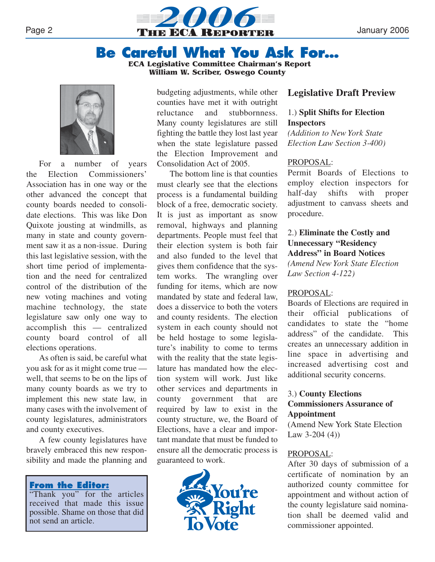

## **Be Careful What You Ask For…**

**ECA Legislative Committee Chairman's Report William W. Scriber, Oswego County**



For a number of years the Election Commissioners' Association has in one way or the other advanced the concept that county boards needed to consolidate elections. This was like Don Quixote jousting at windmills, as many in state and county government saw it as a non-issue. During this last legislative session, with the short time period of implementation and the need for centralized control of the distribution of the new voting machines and voting machine technology, the state legislature saw only one way to accomplish this — centralized county board control of all elections operations.

As often is said, be careful what you ask for as it might come true well, that seems to be on the lips of many county boards as we try to implement this new state law, in many cases with the involvement of county legislatures, administrators and county executives.

A few county legislatures have bravely embraced this new responsibility and made the planning and

## **From the Editor:**

"Thank you" for the articles received that made this issue possible. Shame on those that did not send an article.

budgeting adjustments, while other counties have met it with outright reluctance and stubbornness. Many county legislatures are still fighting the battle they lost last year when the state legislature passed the Election Improvement and Consolidation Act of 2005.

The bottom line is that counties must clearly see that the elections process is a fundamental building block of a free, democratic society. It is just as important as snow removal, highways and planning departments. People must feel that their election system is both fair and also funded to the level that gives them confidence that the system works. The wrangling over funding for items, which are now mandated by state and federal law, does a disservice to both the voters and county residents. The election system in each county should not be held hostage to some legislature's inability to come to terms with the reality that the state legislature has mandated how the election system will work. Just like other services and departments in county government that are required by law to exist in the county structure, we, the Board of Elections, have a clear and important mandate that must be funded to ensure all the democratic process is guaranteed to work.



## **Legislative Draft Preview**

## 1.) **Split Shifts for Election Inspectors**

*(Addition to New York State Election Law Section 3-400)*

#### PROPOSAL:

Permit Boards of Elections to employ election inspectors for half-day shifts with proper adjustment to canvass sheets and procedure.

## 2.) **Eliminate the Costly and Unnecessary "Residency Address" in Board Notices** *(Amend New York State Election Law Section 4-122)*

#### PROPOSAL:

Boards of Elections are required in their official publications of candidates to state the "home address" of the candidate. This creates an unnecessary addition in line space in advertising and increased advertising cost and additional security concerns.

#### 3.) **County Elections Commissioners Assurance of Appointment**

(Amend New York State Election Law 3-204 (4))

#### PROPOSAL:

After 30 days of submission of a certificate of nomination by an authorized county committee for appointment and without action of the county legislature said nomination shall be deemed valid and commissioner appointed.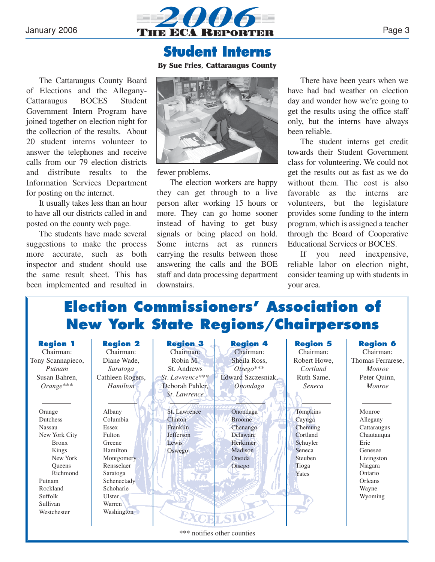

## **Student Interns**

**By Sue Fries, Cattaraugus County**

The Cattaraugus County Board of Elections and the Allegany-Cattaraugus BOCES Student Government Intern Program have joined together on election night for the collection of the results. About 20 student interns volunteer to answer the telephones and receive calls from our 79 election districts and distribute results to the Information Services Department for posting on the internet.

It usually takes less than an hour to have all our districts called in and posted on the county web page.

The students have made several suggestions to make the process more accurate, such as both inspector and student should use the same result sheet. This has been implemented and resulted in



fewer problems.

The election workers are happy they can get through to a live person after working 15 hours or more. They can go home sooner instead of having to get busy signals or being placed on hold. Some interns act as runners carrying the results between those answering the calls and the BOE staff and data processing department downstairs.

There have been years when we have had bad weather on election day and wonder how we're going to get the results using the office staff only, but the interns have always been reliable.

The student interns get credit towards their Student Government class for volunteering. We could not get the results out as fast as we do without them. The cost is also favorable as the interns are volunteers, but the legislature provides some funding to the intern program, which is assigned a teacher through the Board of Cooperative Educational Services or BOCES.

If you need inexpensive, reliable labor on election night, consider teaming up with students in your area.

# **Election Commissioners' Association of New York State Regions/Chairpersons**

| <b>Region 1</b><br>Chairman:<br>Tony Scannapieco,<br>Putnam<br>Susan Bahren,<br>$Orange***$                                                                                        | <b>Region 2</b><br>Chairman:<br>Diane Wade,<br>Saratoga<br>Cathleen Rogers,<br>Hamilton                                                                           | <b>Region 3</b><br>Chairman:<br>Robin M.<br>St. Andrews<br>St. Lawrence***<br>Deborah Pahler,<br>St. Lawrence | <b>Region 4</b><br>Chairman:<br>Sheila Ross,<br>$Otsego***$<br>Edward Szczesniak,<br>Onondaga | <b>Region 5</b><br>Chairman:<br>Robert Howe,<br>Cortland<br>Ruth Same,<br>Seneca             | <b>Region 6</b><br>Chairman:<br>Thomas Ferrarese,<br><i>Monroe</i><br>Peter Quinn,<br>Monroe                                          |
|------------------------------------------------------------------------------------------------------------------------------------------------------------------------------------|-------------------------------------------------------------------------------------------------------------------------------------------------------------------|---------------------------------------------------------------------------------------------------------------|-----------------------------------------------------------------------------------------------|----------------------------------------------------------------------------------------------|---------------------------------------------------------------------------------------------------------------------------------------|
| Orange<br>Dutchess<br><b>Nassau</b><br>New York City<br><b>Bronx</b><br>Kings<br>New York<br><b>Oueens</b><br>Richmond<br>Putnam<br>Rockland<br>Suffolk<br>Sullivan<br>Westchester | Albany<br>Columbia<br>Essex<br>Fulton<br>Greene<br>Hamilton<br>Montgomery<br>Rensselaer<br>Saratoga<br>Schenectady<br>Schoharie<br>Ulster<br>Warren<br>Washington | St. Lawrence<br>Clinton<br>Franklin<br><b>Jefferson</b><br>Lewis<br>Oswego                                    | Onondaga<br><b>Broome</b><br>Chenango<br>Delaware<br>Herkimer<br>Madison<br>Oneida<br>Otsego  | Tompkins<br>Cayuga<br>Chemung<br>Cortland<br>Schuyler<br>Seneca<br>Steuben<br>Tioga<br>Yates | Monroe<br>Allegany<br>Cattaraugus<br>Chautauqua<br>Erie<br>Genesee<br>Livingston<br>Niagara<br>Ontario<br>Orleans<br>Wayne<br>Wyoming |

\*\*\* notifies other counties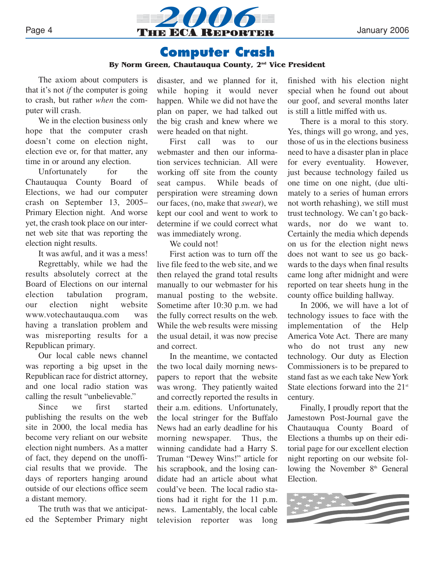

## **Computer Crash**

#### **By Norm Green, Chautauqua County, 2nd Vice President**

The axiom about computers is that it's not *if* the computer is going to crash, but rather *when* the computer will crash.

We in the election business only hope that the computer crash doesn't come on election night, election eve or, for that matter, any time in or around any election.

Unfortunately for the Chautauqua County Board of Elections, we had our computer crash on September 13, 2005– Primary Election night. And worse yet, the crash took place on our internet web site that was reporting the election night results.

It was awful, and it was a mess!

Regrettably, while we had the results absolutely correct at the Board of Elections on our internal election tabulation program, our election night website www.votechautauqua.com was having a translation problem and was misreporting results for a Republican primary.

Our local cable news channel was reporting a big upset in the Republican race for district attorney, and one local radio station was calling the result "unbelievable."

Since we first started publishing the results on the web site in 2000, the local media has become very reliant on our website election night numbers. As a matter of fact, they depend on the unofficial results that we provide. The days of reporters hanging around outside of our elections office seem a distant memory.

The truth was that we anticipated the September Primary night disaster, and we planned for it, while hoping it would never happen. While we did not have the plan on paper, we had talked out the big crash and knew where we were headed on that night.

First call was to our webmaster and then our information services technician. All were working off site from the county seat campus. While beads of perspiration were streaming down our faces, (no, make that *sweat*), we kept our cool and went to work to determine if we could correct what was immediately wrong.

We could not!

First action was to turn off the live file feed to the web site, and we then relayed the grand total results manually to our webmaster for his manual posting to the website. Sometime after 10:30 p.m. we had the fully correct results on the web. While the web results were missing the usual detail, it was now precise and correct.

In the meantime, we contacted the two local daily morning newspapers to report that the website was wrong. They patiently waited and correctly reported the results in their a.m. editions. Unfortunately, the local stringer for the Buffalo News had an early deadline for his morning newspaper. Thus, the winning candidate had a Harry S. Truman "Dewey Wins!" article for his scrapbook, and the losing candidate had an article about what could've been. The local radio stations had it right for the 11 p.m. news. Lamentably, the local cable television reporter was long

finished with his election night special when he found out about our goof, and several months later is still a little miffed with us.

There is a moral to this story. Yes, things will go wrong, and yes, those of us in the elections business need to have a disaster plan in place for every eventuality. However, just because technology failed us one time on one night, (due ultimately to a series of human errors not worth rehashing), we still must trust technology. We can't go backwards, nor do we want to. Certainly the media which depends on us for the election night news does not want to see us go backwards to the days when final results came long after midnight and were reported on tear sheets hung in the county office building hallway.

In 2006, we will have a lot of technology issues to face with the implementation of the Help America Vote Act. There are many who do not trust any new technology. Our duty as Election Commissioners is to be prepared to stand fast as we each take New York State elections forward into the  $21<sup>st</sup>$ century.

Finally, I proudly report that the Jamestown Post-Journal gave the Chautauqua County Board of Elections a thumbs up on their editorial page for our excellent election night reporting on our website following the November 8<sup>th</sup> General Election.

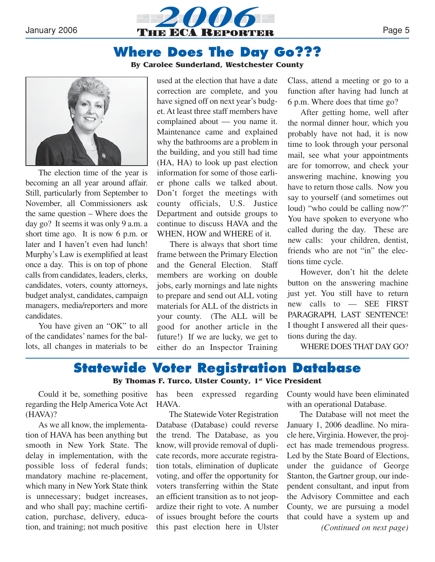

## **Where Does The Day Go???**

#### **By Carolee Sunderland, Westchester County**



The election time of the year is becoming an all year around affair. Still, particularly from September to November, all Commissioners ask the same question – Where does the day go? It seems it was only 9 a.m. a short time ago. It is now 6 p.m. or later and I haven't even had lunch! Murphy's Law is exemplified at least once a day. This is on top of phone calls from candidates, leaders, clerks, candidates, voters, county attorneys, budget analyst, candidates, campaign managers, media/reporters and more candidates.

You have given an "OK" to all of the candidates' names for the ballots, all changes in materials to be

used at the election that have a date correction are complete, and you have signed off on next year's budget. At least three staff members have complained about — you name it. Maintenance came and explained why the bathrooms are a problem in the building, and you still had time (HA, HA) to look up past election information for some of those earlier phone calls we talked about. Don't forget the meetings with county officials, U.S. Justice Department and outside groups to continue to discuss HAVA and the WHEN, HOW and WHERE of it.

There is always that short time frame between the Primary Election and the General Election. Staff members are working on double jobs, early mornings and late nights to prepare and send out ALL voting materials for ALL of the districts in your county. (The ALL will be good for another article in the future!) If we are lucky, we get to either do an Inspector Training

Class, attend a meeting or go to a function after having had lunch at 6 p.m. Where does that time go?

After getting home, well after the normal dinner hour, which you probably have not had, it is now time to look through your personal mail, see what your appointments are for tomorrow, and check your answering machine, knowing you have to return those calls. Now you say to yourself (and sometimes out loud) "who could be calling now?" You have spoken to everyone who called during the day. These are new calls: your children, dentist, friends who are not "in" the elections time cycle.

However, don't hit the delete button on the answering machine just yet. You still have to return new calls to — SEE FIRST PARAGRAPH, LAST SENTENCE! I thought I answered all their questions during the day.

WHERE DOES THAT DAY GO?

## **Statewide Voter Registration Database By Thomas F. Turco, Ulster County, 1st Vice President**

Could it be, something positive regarding the Help America Vote Act (HAVA)?

As we all know, the implementation of HAVA has been anything but smooth in New York State. The delay in implementation, with the possible loss of federal funds; mandatory machine re-placement, which many in New York State think is unnecessary; budget increases, and who shall pay; machine certification, purchase, delivery, education, and training; not much positive

has been expressed regarding HAVA.

The Statewide Voter Registration Database (Database) could reverse the trend. The Database, as you know, will provide removal of duplicate records, more accurate registration totals, elimination of duplicate voting, and offer the opportunity for voters transferring within the State an efficient transition as to not jeopardize their right to vote. A number of issues brought before the courts this past election here in Ulster County would have been eliminated with an operational Database.

The Database will not meet the January 1, 2006 deadline. No miracle here, Virginia. However, the project has made tremendous progress. Led by the State Board of Elections, under the guidance of George Stanton, the Gartner group, our independent consultant, and input from the Advisory Committee and each County, we are pursuing a model that could have a system up and *(Continued on next page)*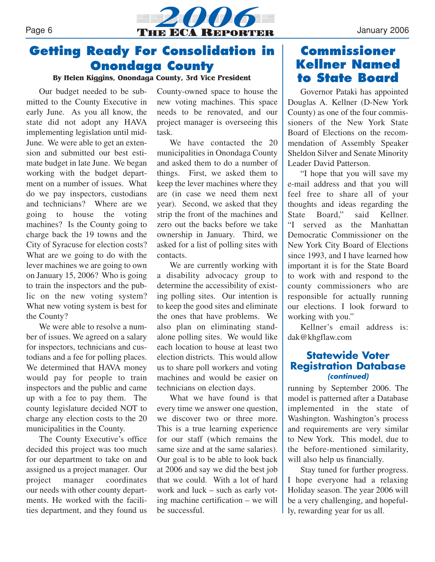

## **Getting Ready For Consolidation in Onondaga County**

**By Helen Kiggins, Onondaga County, 3rd Vice President**

Our budget needed to be submitted to the County Executive in early June. As you all know, the state did not adopt any HAVA implementing legislation until mid-June. We were able to get an extension and submitted our best estimate budget in late June. We began working with the budget department on a number of issues. What do we pay inspectors, custodians and technicians? Where are we going to house the voting machines? Is the County going to charge back the 19 towns and the City of Syracuse for election costs? What are we going to do with the lever machines we are going to own on January 15, 2006? Who is going to train the inspectors and the public on the new voting system? What new voting system is best for the County?

We were able to resolve a number of issues. We agreed on a salary for inspectors, technicians and custodians and a fee for polling places. We determined that HAVA money would pay for people to train inspectors and the public and came up with a fee to pay them. The county legislature decided NOT to charge any election costs to the 20 municipalities in the County.

The County Executive's office decided this project was too much for our department to take on and assigned us a project manager. Our project manager coordinates our needs with other county departments. He worked with the facilities department, and they found us County-owned space to house the new voting machines. This space needs to be renovated, and our project manager is overseeing this task.

We have contacted the 20 municipalities in Onondaga County and asked them to do a number of things. First, we asked them to keep the lever machines where they are (in case we need them next year). Second, we asked that they strip the front of the machines and zero out the backs before we take ownership in January. Third, we asked for a list of polling sites with contacts.

We are currently working with a disability advocacy group to determine the accessibility of existing polling sites. Our intention is to keep the good sites and eliminate the ones that have problems. We also plan on eliminating standalone polling sites. We would like each location to house at least two election districts. This would allow us to share poll workers and voting machines and would be easier on technicians on election days.

What we have found is that every time we answer one question, we discover two or three more. This is a true learning experience for our staff (which remains the same size and at the same salaries). Our goal is to be able to look back at 2006 and say we did the best job that we could. With a lot of hard work and luck – such as early voting machine certification – we will be successful.

## **Commissioner Kellner Named to State Board**

Governor Pataki has appointed Douglas A. Kellner (D-New York County) as one of the four commissioners of the New York State Board of Elections on the recommendation of Assembly Speaker Sheldon Silver and Senate Minority Leader David Patterson.

"I hope that you will save my e-mail address and that you will feel free to share all of your thoughts and ideas regarding the State Board," said Kellner. "I served as the Manhattan Democratic Commissioner on the New York City Board of Elections since 1993, and I have learned how important it is for the State Board to work with and respond to the county commissioners who are responsible for actually running our elections. I look forward to working with you."

Kellner's email address is: dak@khgflaw.com

## **Statewide Voter Registration Database (continued)**

running by September 2006. The model is patterned after a Database implemented in the state of Washington. Washington's process and requirements are very similar to New York. This model, due to the before-mentioned similarity, will also help us financially.

Stay tuned for further progress. I hope everyone had a relaxing Holiday season. The year 2006 will be a very challenging, and hopefully, rewarding year for us all.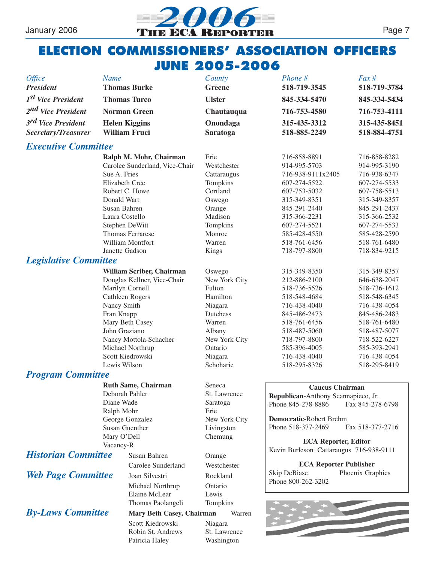

## **ELECTION COMMISSIONERS' ASSOCIATION OFFICERS JUNE 2005-2006**

| <b>Office</b><br><b>President</b>                       | <b>Name</b><br><b>Thomas Burke</b>                                                                                                                                                                                                                                                                                                                                                                            | County<br><b>Greene</b>                                                     | Phone #<br>518-719-3545                                                                                                                                                                                                                                                                                                                     | $Fax \#$<br>518-719-3784                                                                                                                                                                                                             |  |  |  |
|---------------------------------------------------------|---------------------------------------------------------------------------------------------------------------------------------------------------------------------------------------------------------------------------------------------------------------------------------------------------------------------------------------------------------------------------------------------------------------|-----------------------------------------------------------------------------|---------------------------------------------------------------------------------------------------------------------------------------------------------------------------------------------------------------------------------------------------------------------------------------------------------------------------------------------|--------------------------------------------------------------------------------------------------------------------------------------------------------------------------------------------------------------------------------------|--|--|--|
| 1 <sup>st</sup> Vice President                          | <b>Thomas Turco</b>                                                                                                                                                                                                                                                                                                                                                                                           | <b>Ulster</b>                                                               | 845-334-5470                                                                                                                                                                                                                                                                                                                                | 845-334-5434                                                                                                                                                                                                                         |  |  |  |
| 2 <sup>nd</sup> Vice President                          | <b>Norman Green</b>                                                                                                                                                                                                                                                                                                                                                                                           |                                                                             | 716-753-4580                                                                                                                                                                                                                                                                                                                                | 716-753-4111                                                                                                                                                                                                                         |  |  |  |
| 3 <sup>rd</sup> Vice President                          |                                                                                                                                                                                                                                                                                                                                                                                                               |                                                                             | 315-435-3312                                                                                                                                                                                                                                                                                                                                |                                                                                                                                                                                                                                      |  |  |  |
| Secretary/Treasurer                                     | <b>Helen Kiggins</b><br><b>William Fruci</b>                                                                                                                                                                                                                                                                                                                                                                  | Onondaga<br><b>Saratoga</b>                                                 | 518-885-2249                                                                                                                                                                                                                                                                                                                                | 315-435-8451<br>518-884-4751                                                                                                                                                                                                         |  |  |  |
| <b>Executive Committee</b>                              |                                                                                                                                                                                                                                                                                                                                                                                                               |                                                                             |                                                                                                                                                                                                                                                                                                                                             |                                                                                                                                                                                                                                      |  |  |  |
|                                                         | Ralph M. Mohr, Chairman<br>Carolee Sunderland, Vice-Chair<br>Sue A. Fries<br>Elizabeth Cree<br>Robert C. Howe                                                                                                                                                                                                                                                                                                 | Erie<br>Westchester<br>Cattaraugus<br>Tompkins<br>Cortland                  | 716-858-8891<br>914-995-5703<br>716-938-9111x2405<br>607-274-5522<br>607-753-5032                                                                                                                                                                                                                                                           | 716-858-8282<br>914-995-3190<br>716-938-6347<br>607-274-5533<br>607-758-5513                                                                                                                                                         |  |  |  |
|                                                         | Donald Wart<br>Susan Bahren<br>Laura Costello<br>Stephen DeWitt<br>Thomas Ferrarese<br>William Montfort<br>Janette Gadson                                                                                                                                                                                                                                                                                     | Oswego<br>Orange<br>Madison<br>Tompkins<br>Monroe<br>Warren<br><b>Kings</b> | 315-349-8351<br>845-291-2440<br>315-366-2231<br>607-274-5521<br>585-428-4550<br>518-761-6456<br>718-797-8800                                                                                                                                                                                                                                | 315-349-8357<br>845-291-2437<br>315-366-2532<br>607-274-5533<br>585-428-2590<br>518-761-6480<br>718-834-9215                                                                                                                         |  |  |  |
| <b>Legislative Committee</b>                            |                                                                                                                                                                                                                                                                                                                                                                                                               |                                                                             |                                                                                                                                                                                                                                                                                                                                             |                                                                                                                                                                                                                                      |  |  |  |
|                                                         | William Scriber, Chairman<br>Douglas Kellner, Vice-Chair<br>Marilyn Cornell<br>Cathleen Rogers<br>Nancy Smith<br>Fran Knapp<br>Mary Beth Casey<br>John Graziano<br>Nancy Mottola-Schacher<br>Michael Northrup<br>Scott Kiedrowski<br>Lewis Wilson<br><b>Program Committee</b><br><b>Ruth Same, Chairman</b><br>Deborah Pahler<br>Diane Wade<br>Ralph Mohr<br>George Gonzalez<br>Susan Guenther<br>Mary O'Dell |                                                                             | 315-349-8350<br>212-886-2100<br>518-736-5526<br>518-548-4684<br>716-438-4040<br>845-486-2473<br>518-761-6456<br>518-487-5060<br>718-797-8800<br>585-396-4005<br>716-438-4040<br>518-295-8326<br><b>Caucus Chairman</b><br>Republican-Anthony Scannapieco, Jr.<br>Phone 845-278-8886<br><b>Democratic-Robert Brehm</b><br>Phone 518-377-2469 | 315-349-8357<br>646-638-2047<br>518-736-1612<br>518-548-6345<br>716-438-4054<br>845-486-2483<br>518-761-6480<br>518-487-5077<br>718-522-6227<br>585-393-2941<br>716-438-4054<br>518-295-8419<br>Fax 845-278-6798<br>Fax 518-377-2716 |  |  |  |
|                                                         | Vacancy-R                                                                                                                                                                                                                                                                                                                                                                                                     | Chemung                                                                     |                                                                                                                                                                                                                                                                                                                                             | <b>ECA Reporter, Editor</b><br>Kevin Burleson Cattaraugus 716-938-9111                                                                                                                                                               |  |  |  |
| <b>Historian Committee</b><br><b>Web Page Committee</b> | Susan Bahren<br>Carolee Sunderland<br>Joan Silvestri<br>Michael Northrup                                                                                                                                                                                                                                                                                                                                      | Orange<br>Westchester<br>Rockland<br>Ontario                                | <b>ECA Reporter Publisher</b><br>Phoenix Graphics<br>Skip DeBiase<br>Phone 800-262-3202                                                                                                                                                                                                                                                     |                                                                                                                                                                                                                                      |  |  |  |
| <b>By-Laws Committee</b>                                | Elaine McLear<br>Thomas Paolangeli<br>Mary Beth Casey, Chairman<br>Scott Kiedrowski<br>Robin St. Andrews<br>Patricia Haley                                                                                                                                                                                                                                                                                    | Lewis<br>Tompkins<br>Warren<br>Niagara<br>St. Lawrence<br>Washington        |                                                                                                                                                                                                                                                                                                                                             |                                                                                                                                                                                                                                      |  |  |  |